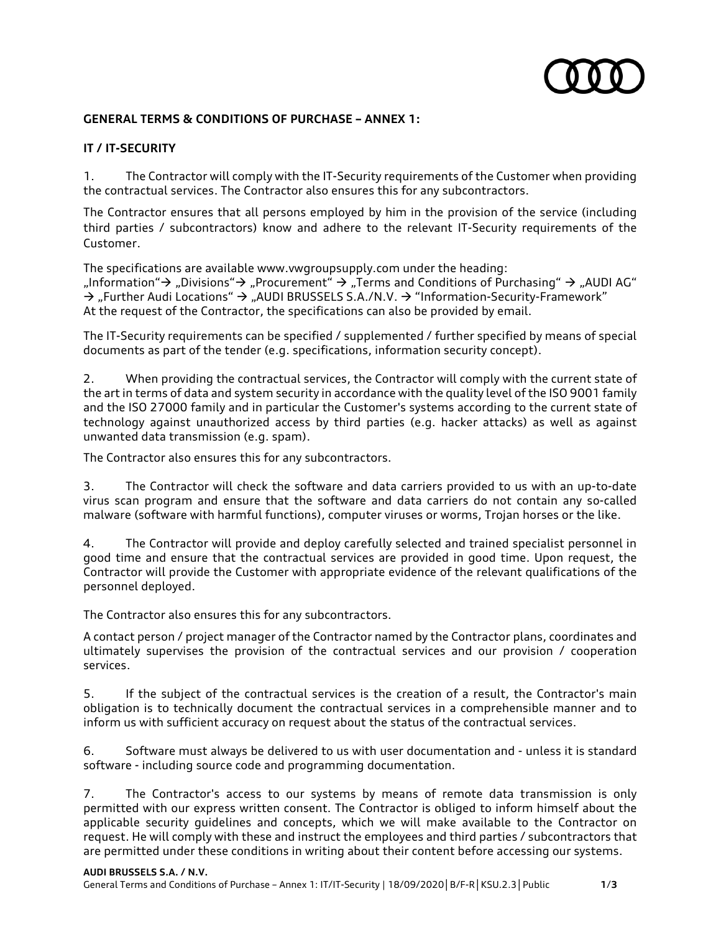

## **GENERAL TERMS & CONDITIONS OF PURCHASE – ANNEX 1:**

## **IT / IT-SECURITY**

1. The Contractor will comply with the IT-Security requirements of the Customer when providing the contractual services. The Contractor also ensures this for any subcontractors.

The Contractor ensures that all persons employed by him in the provision of the service (including third parties / subcontractors) know and adhere to the relevant IT-Security requirements of the Customer.

The specifications are available www.vwgroupsupply.com under the heading:

"Information"  $\rightarrow$  "Divisions"  $\rightarrow$  "Procurement"  $\rightarrow$  "Terms and Conditions of Purchasing"  $\rightarrow$  "AUDI AG"  $\rightarrow$  "Further Audi Locations"  $\rightarrow$  "AUDI BRUSSELS S.A./N.V.  $\rightarrow$  "Information-Security-Framework" At the request of the Contractor, the specifications can also be provided by email.

The IT-Security requirements can be specified / supplemented / further specified by means of special documents as part of the tender (e.g. specifications, information security concept).

2. When providing the contractual services, the Contractor will comply with the current state of the art in terms of data and system security in accordance with the quality level of the ISO 9001 family and the ISO 27000 family and in particular the Customer's systems according to the current state of technology against unauthorized access by third parties (e.g. hacker attacks) as well as against unwanted data transmission (e.g. spam).

The Contractor also ensures this for any subcontractors.

3. The Contractor will check the software and data carriers provided to us with an up-to-date virus scan program and ensure that the software and data carriers do not contain any so-called malware (software with harmful functions), computer viruses or worms, Trojan horses or the like.

4. The Contractor will provide and deploy carefully selected and trained specialist personnel in good time and ensure that the contractual services are provided in good time. Upon request, the Contractor will provide the Customer with appropriate evidence of the relevant qualifications of the personnel deployed.

The Contractor also ensures this for any subcontractors.

A contact person / project manager of the Contractor named by the Contractor plans, coordinates and ultimately supervises the provision of the contractual services and our provision / cooperation services.

5. If the subject of the contractual services is the creation of a result, the Contractor's main obligation is to technically document the contractual services in a comprehensible manner and to inform us with sufficient accuracy on request about the status of the contractual services.

6. Software must always be delivered to us with user documentation and - unless it is standard software - including source code and programming documentation.

7. The Contractor's access to our systems by means of remote data transmission is only permitted with our express written consent. The Contractor is obliged to inform himself about the applicable security guidelines and concepts, which we will make available to the Contractor on request. He will comply with these and instruct the employees and third parties / subcontractors that are permitted under these conditions in writing about their content before accessing our systems.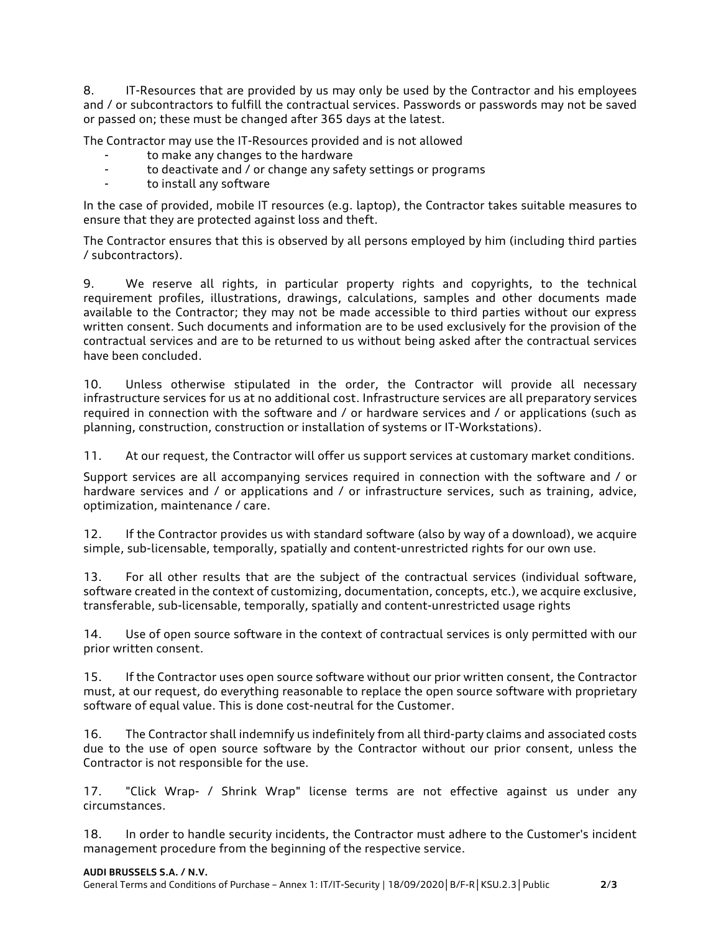8. IT-Resources that are provided by us may only be used by the Contractor and his employees and / or subcontractors to fulfill the contractual services. Passwords or passwords may not be saved or passed on; these must be changed after 365 days at the latest.

The Contractor may use the IT-Resources provided and is not allowed

- to make any changes to the hardware
- to deactivate and / or change any safety settings or programs
- to install any software

In the case of provided, mobile IT resources (e.g. laptop), the Contractor takes suitable measures to ensure that they are protected against loss and theft.

The Contractor ensures that this is observed by all persons employed by him (including third parties / subcontractors).

9. We reserve all rights, in particular property rights and copyrights, to the technical requirement profiles, illustrations, drawings, calculations, samples and other documents made available to the Contractor; they may not be made accessible to third parties without our express written consent. Such documents and information are to be used exclusively for the provision of the contractual services and are to be returned to us without being asked after the contractual services have been concluded.

10. Unless otherwise stipulated in the order, the Contractor will provide all necessary infrastructure services for us at no additional cost. Infrastructure services are all preparatory services required in connection with the software and / or hardware services and / or applications (such as planning, construction, construction or installation of systems or IT-Workstations).

11. At our request, the Contractor will offer us support services at customary market conditions.

Support services are all accompanying services required in connection with the software and / or hardware services and / or applications and / or infrastructure services, such as training, advice, optimization, maintenance / care.

12. If the Contractor provides us with standard software (also by way of a download), we acquire simple, sub-licensable, temporally, spatially and content-unrestricted rights for our own use.

13. For all other results that are the subject of the contractual services (individual software, software created in the context of customizing, documentation, concepts, etc.), we acquire exclusive, transferable, sub-licensable, temporally, spatially and content-unrestricted usage rights

14. Use of open source software in the context of contractual services is only permitted with our prior written consent.

15. If the Contractor uses open source software without our prior written consent, the Contractor must, at our request, do everything reasonable to replace the open source software with proprietary software of equal value. This is done cost-neutral for the Customer.

16. The Contractor shall indemnify us indefinitely from all third-party claims and associated costs due to the use of open source software by the Contractor without our prior consent, unless the Contractor is not responsible for the use.

17. "Click Wrap- / Shrink Wrap" license terms are not effective against us under any circumstances.

18. In order to handle security incidents, the Contractor must adhere to the Customer's incident management procedure from the beginning of the respective service.